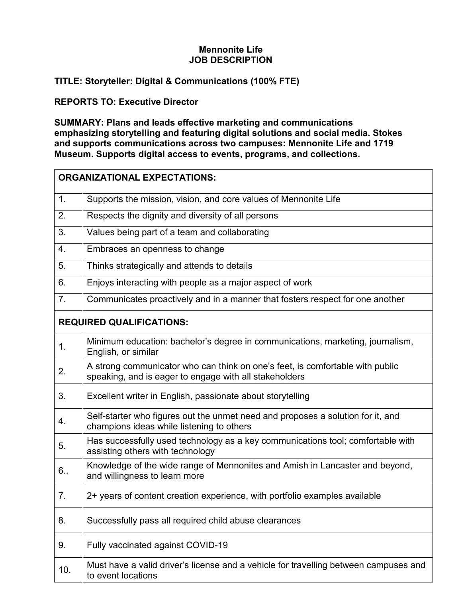## **Mennonite Life JOB DESCRIPTION**

## **TITLE: Storyteller: Digital & Communications (100% FTE)**

## **REPORTS TO: Executive Director**

**SUMMARY: Plans and leads effective marketing and communications emphasizing storytelling and featuring digital solutions and social media. Stokes and supports communications across two campuses: Mennonite Life and 1719 Museum. Supports digital access to events, programs, and collections.**

| <b>ORGANIZATIONAL EXPECTATIONS:</b> |                                                                                                                                         |
|-------------------------------------|-----------------------------------------------------------------------------------------------------------------------------------------|
| 1.                                  | Supports the mission, vision, and core values of Mennonite Life                                                                         |
| 2.                                  | Respects the dignity and diversity of all persons                                                                                       |
| 3.                                  | Values being part of a team and collaborating                                                                                           |
| 4.                                  | Embraces an openness to change                                                                                                          |
| 5.                                  | Thinks strategically and attends to details                                                                                             |
| 6.                                  | Enjoys interacting with people as a major aspect of work                                                                                |
| 7.                                  | Communicates proactively and in a manner that fosters respect for one another                                                           |
| <b>REQUIRED QUALIFICATIONS:</b>     |                                                                                                                                         |
| $\mathbf{1}$ .                      | Minimum education: bachelor's degree in communications, marketing, journalism,<br>English, or similar                                   |
| 2.                                  | A strong communicator who can think on one's feet, is comfortable with public<br>speaking, and is eager to engage with all stakeholders |
| 3.                                  | Excellent writer in English, passionate about storytelling                                                                              |
| 4.                                  | Self-starter who figures out the unmet need and proposes a solution for it, and<br>champions ideas while listening to others            |
| 5.                                  | Has successfully used technology as a key communications tool; comfortable with<br>assisting others with technology                     |
| 6.                                  | Knowledge of the wide range of Mennonites and Amish in Lancaster and beyond,<br>and willingness to learn more                           |
| 7.                                  | 2+ years of content creation experience, with portfolio examples available                                                              |
| 8.                                  | Successfully pass all required child abuse clearances                                                                                   |
| 9.                                  | Fully vaccinated against COVID-19                                                                                                       |
| 10.                                 | Must have a valid driver's license and a vehicle for travelling between campuses and<br>to event locations                              |